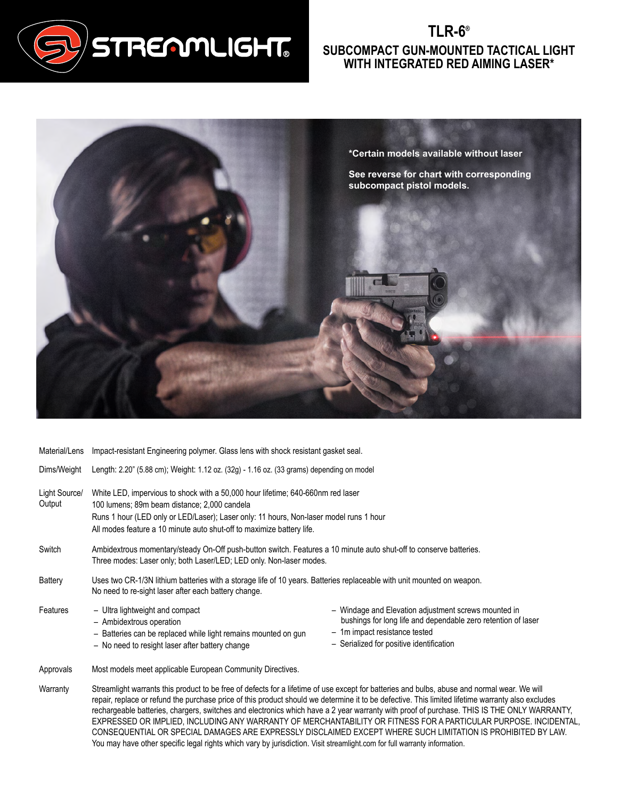

## **TLR-6® SUBCOMPACT GUN-MOUNTED TACTICAL LIGHT WITH INTEGRATED RED AIMING LASER\***



| Material/Lens           | Impact-resistant Engineering polymer. Glass lens with shock resistant gasket seal.                                                                                                                                                                                                                 |                                                                                                                                                                                                    |  |
|-------------------------|----------------------------------------------------------------------------------------------------------------------------------------------------------------------------------------------------------------------------------------------------------------------------------------------------|----------------------------------------------------------------------------------------------------------------------------------------------------------------------------------------------------|--|
| Dims/Weight             | Length: 2.20" (5.88 cm); Weight: 1.12 oz. (32g) - 1.16 oz. (33 grams) depending on model                                                                                                                                                                                                           |                                                                                                                                                                                                    |  |
| Light Source/<br>Output | White LED, impervious to shock with a 50,000 hour lifetime; 640-660nm red laser<br>100 lumens; 89m beam distance; 2,000 candela<br>Runs 1 hour (LED only or LED/Laser); Laser only: 11 hours, Non-laser model runs 1 hour<br>All modes feature a 10 minute auto shut-off to maximize battery life. |                                                                                                                                                                                                    |  |
| Switch                  | Ambidextrous momentary/steady On-Off push-button switch. Features a 10 minute auto shut-off to conserve batteries.<br>Three modes: Laser only; both Laser/LED; LED only. Non-laser modes.                                                                                                          |                                                                                                                                                                                                    |  |
| Battery                 | Uses two CR-1/3N lithium batteries with a storage life of 10 years. Batteries replaceable with unit mounted on weapon.<br>No need to re-sight laser after each battery change.                                                                                                                     |                                                                                                                                                                                                    |  |
| Features                | - Ultra lightweight and compact<br>- Ambidextrous operation<br>- Batteries can be replaced while light remains mounted on gun<br>- No need to resight laser after battery change                                                                                                                   | - Windage and Elevation adjustment screws mounted in<br>bushings for long life and dependable zero retention of laser<br>- 1m impact resistance tested<br>- Serialized for positive identification |  |
| Approvals               | Most models meet applicable European Community Directives.                                                                                                                                                                                                                                         |                                                                                                                                                                                                    |  |

Warranty Streamlight warrants this product to be free of defects for a lifetime of use except for batteries and bulbs, abuse and normal wear. We will repair, replace or refund the purchase price of this product should we determine it to be defective. This limited lifetime warranty also excludes rechargeable batteries, chargers, switches and electronics which have a 2 year warranty with proof of purchase. THIS IS THE ONLY WARRANTY, EXPRESSED OR IMPLIED, INCLUDING ANY WARRANTY OF MERCHANTABILITY OR FITNESS FOR A PARTICULAR PURPOSE. INCIDENTAL, CONSEQUENTIAL OR SPECIAL DAMAGES ARE EXPRESSLY DISCLAIMED EXCEPT WHERE SUCH LIMITATION IS PROHIBITED BY LAW. You may have other specific legal rights which vary by jurisdiction. Visit streamlight.com for full warranty information.